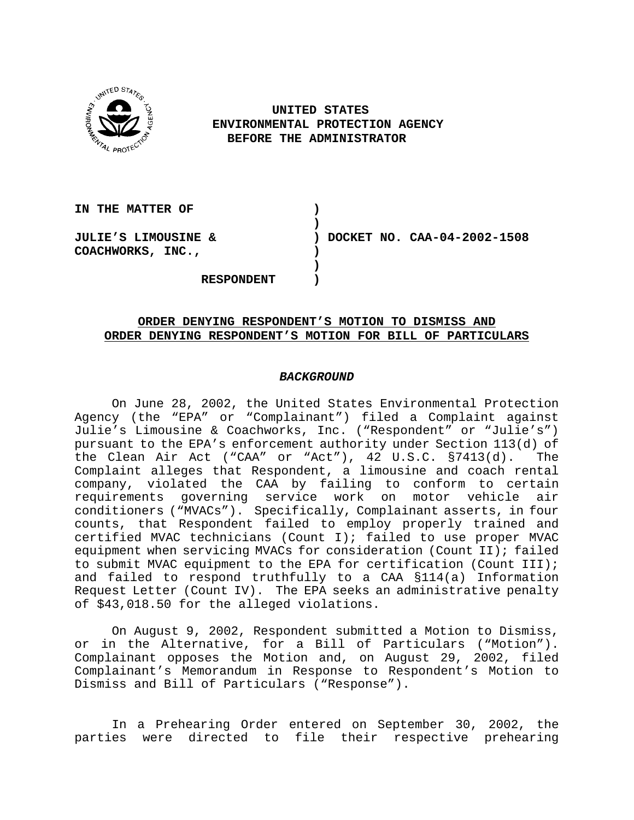

**UNITED STATES ENVIRONMENTAL PROTECTION AGENCY BEFORE THE ADMINISTRATOR** 

| IN THE MATTER OF    |                             |
|---------------------|-----------------------------|
|                     |                             |
| JULIE'S LIMOUSINE & | DOCKET NO. CAA-04-2002-1508 |
| COACHWORKS, INC.,   |                             |
|                     |                             |
| <b>RESPONDENT</b>   |                             |

# **ORDER DENYING RESPONDENT'S MOTION TO DISMISS AND ORDER DENYING RESPONDENT'S MOTION FOR BILL OF PARTICULARS**

#### *BACKGROUND*

On June 28, 2002, the United States Environmental Protection Agency (the "EPA" or "Complainant") filed a Complaint against Julie's Limousine & Coachworks, Inc. ("Respondent" or "Julie's") pursuant to the EPA's enforcement authority under Section 113(d) of the Clean Air Act ("CAA" or "Act"), 42 U.S.C. §7413(d). The Complaint alleges that Respondent, a limousine and coach rental company, violated the CAA by failing to conform to certain requirements governing service work on motor vehicle air conditioners ("MVACs"). Specifically, Complainant asserts, in four counts, that Respondent failed to employ properly trained and certified MVAC technicians (Count I); failed to use proper MVAC equipment when servicing MVACs for consideration (Count II); failed to submit MVAC equipment to the EPA for certification (Count III); and failed to respond truthfully to a CAA §114(a) Information Request Letter (Count IV). The EPA seeks an administrative penalty of \$43,018.50 for the alleged violations.

On August 9, 2002, Respondent submitted a Motion to Dismiss, or in the Alternative, for a Bill of Particulars ("Motion"). Complainant opposes the Motion and, on August 29, 2002, filed Complainant's Memorandum in Response to Respondent's Motion to Dismiss and Bill of Particulars ("Response").

In a Prehearing Order entered on September 30, 2002, the parties were directed to file their respective prehearing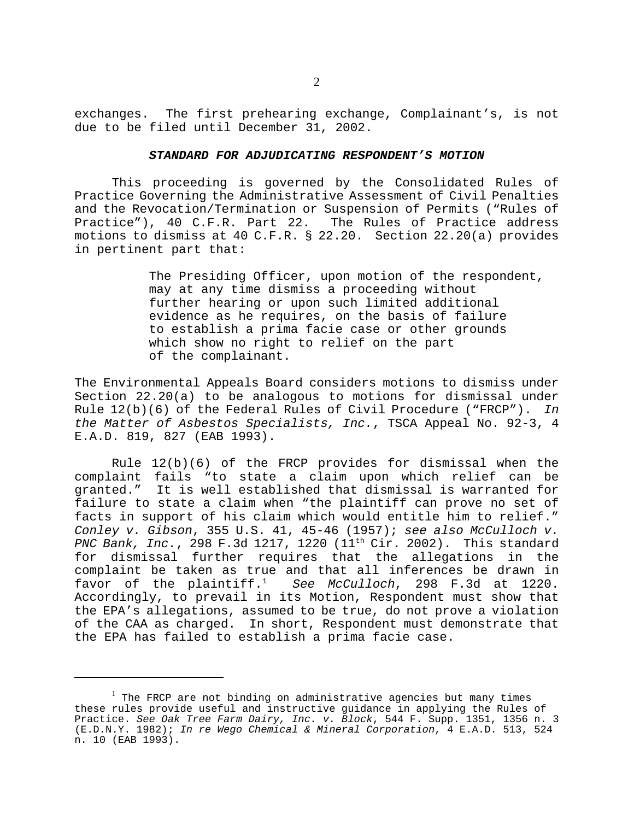exchanges. The first prehearing exchange, Complainant's, is not due to be filed until December 31, 2002.

#### *STANDARD FOR ADJUDICATING RESPONDENT'S MOTION*

This proceeding is governed by the Consolidated Rules of Practice Governing the Administrative Assessment of Civil Penalties and the Revocation/Termination or Suspension of Permits ("Rules of Practice"), 40 C.F.R. Part 22. The Rules of Practice address motions to dismiss at 40 C.F.R. § 22.20. Section 22.20(a) provides in pertinent part that:

> The Presiding Officer, upon motion of the respondent, may at any time dismiss a proceeding without further hearing or upon such limited additional evidence as he requires, on the basis of failure to establish a prima facie case or other grounds which show no right to relief on the part of the complainant.

The Environmental Appeals Board considers motions to dismiss under Section 22.20(a) to be analogous to motions for dismissal under Rule 12(b)(6) of the Federal Rules of Civil Procedure ("FRCP"). *In the Matter of Asbestos Specialists, Inc.*, TSCA Appeal No. 92-3, 4 E.A.D. 819, 827 (EAB 1993).

Rule 12(b)(6) of the FRCP provides for dismissal when the complaint fails "to state a claim upon which relief can be granted." It is well established that dismissal is warranted for failure to state a claim when "the plaintiff can prove no set of facts in support of his claim which would entitle him to relief." *Conley v. Gibson*, 355 U.S. 41, 45-46 (1957); *see also McCulloch v. PNC Bank, Inc.*, 298 F.3d 1217, 1220 (11th Cir. 2002). This standard for dismissal further requires that the allegations in the complaint be taken as true and that all inferences be drawn in favor of the plaintiff.1 *See McCulloch*, 298 F.3d at 1220. Accordingly, to prevail in its Motion, Respondent must show that the EPA's allegations, assumed to be true, do not prove a violation of the CAA as charged. In short, Respondent must demonstrate that the EPA has failed to establish a prima facie case.

 $1$  The FRCP are not binding on administrative agencies but many times these rules provide useful and instructive guidance in applying the Rules of Practice. See Oak Tree Farm Dairy, Inc. v. Block, 544 F. Supp. 1351, 1356 n. 3 (E.D.N.Y. 1982); In re Wego Chemical & Mineral Corporation, 4 E.A.D. 513, 524 n. 10 (EAB 1993).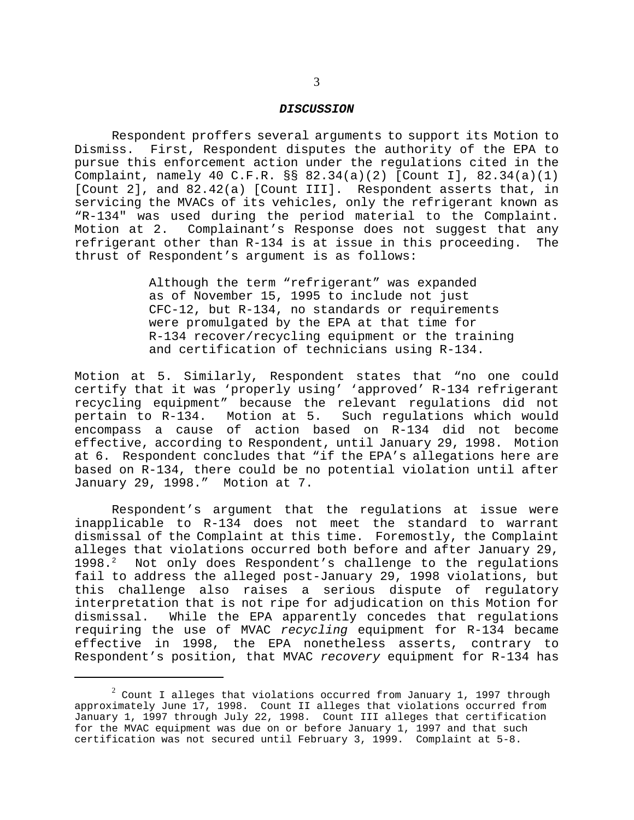#### *DISCUSSION*

Respondent proffers several arguments to support its Motion to Dismiss. First, Respondent disputes the authority of the EPA to pursue this enforcement action under the regulations cited in the Complaint, namely 40 C.F.R. §§ 82.34(a)(2) [Count I], 82.34(a)(1) [Count 2], and 82.42(a) [Count III]. Respondent asserts that, in servicing the MVACs of its vehicles, only the refrigerant known as "R-134" was used during the period material to the Complaint. Motion at 2. Complainant's Response does not suggest that any refrigerant other than R-134 is at issue in this proceeding. The thrust of Respondent's argument is as follows:

> Although the term "refrigerant" was expanded as of November 15, 1995 to include not just CFC-12, but R-134, no standards or requirements were promulgated by the EPA at that time for R-134 recover/recycling equipment or the training and certification of technicians using R-134.

Motion at 5. Similarly, Respondent states that "no one could certify that it was 'properly using' 'approved' R-134 refrigerant recycling equipment" because the relevant regulations did not pertain to R-134. Motion at 5. Such regulations which would encompass a cause of action based on R-134 did not become effective, according to Respondent, until January 29, 1998. Motion at 6. Respondent concludes that "if the EPA's allegations here are based on R-134, there could be no potential violation until after January 29, 1998." Motion at 7.

Respondent's argument that the regulations at issue were inapplicable to R-134 does not meet the standard to warrant dismissal of the Complaint at this time. Foremostly, the Complaint alleges that violations occurred both before and after January 29, 1998. $^2$  Not only does Respondent's challenge to the regulations fail to address the alleged post-January 29, 1998 violations, but this challenge also raises a serious dispute of regulatory interpretation that is not ripe for adjudication on this Motion for dismissal. While the EPA apparently concedes that regulations requiring the use of MVAC *recycling* equipment for R-134 became effective in 1998, the EPA nonetheless asserts, contrary to Respondent's position, that MVAC *recovery* equipment for R-134 has

 $^2$  Count I alleges that violations occurred from January 1, 1997 through approximately June 17, 1998. Count II alleges that violations occurred from January 1, 1997 through July 22, 1998. Count III alleges that certification for the MVAC equipment was due on or before January 1, 1997 and that such certification was not secured until February 3, 1999. Complaint at 5-8.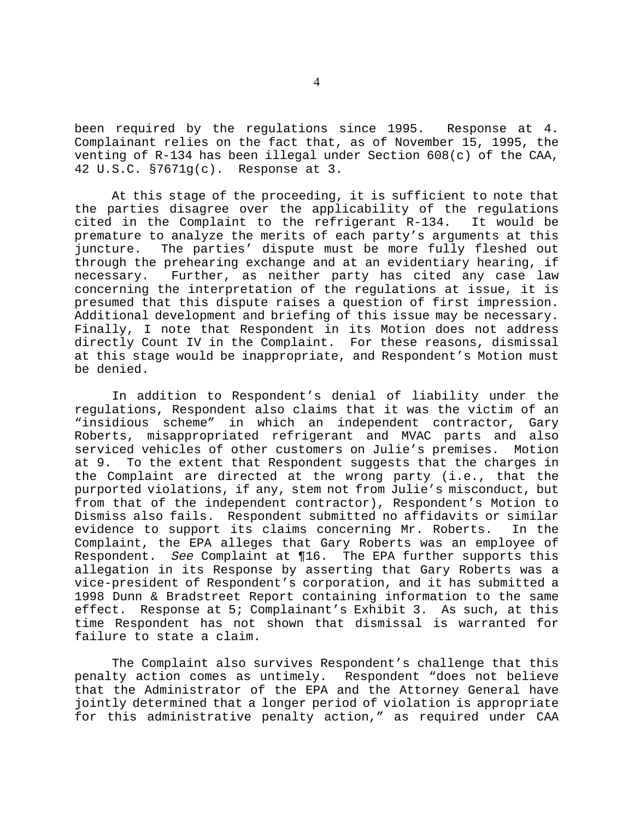been required by the regulations since 1995. Response at 4. Complainant relies on the fact that, as of November 15, 1995, the venting of R-134 has been illegal under Section 608(c) of the CAA, 42 U.S.C. §7671g(c). Response at 3.

At this stage of the proceeding, it is sufficient to note that the parties disagree over the applicability of the regulations cited in the Complaint to the refrigerant R-134. It would be premature to analyze the merits of each party's arguments at this juncture. The parties' dispute must be more fully fleshed out through the prehearing exchange and at an evidentiary hearing, if necessary. Further, as neither party has cited any case law concerning the interpretation of the regulations at issue, it is presumed that this dispute raises a question of first impression. Additional development and briefing of this issue may be necessary. Finally, I note that Respondent in its Motion does not address directly Count IV in the Complaint. For these reasons, dismissal at this stage would be inappropriate, and Respondent's Motion must be denied.

In addition to Respondent's denial of liability under the regulations, Respondent also claims that it was the victim of an "insidious scheme" in which an independent contractor, Gary Roberts, misappropriated refrigerant and MVAC parts and also serviced vehicles of other customers on Julie's premises. Motion at 9. To the extent that Respondent suggests that the charges in the Complaint are directed at the wrong party (i.e., that the purported violations, if any, stem not from Julie's misconduct, but from that of the independent contractor), Respondent's Motion to Dismiss also fails. Respondent submitted no affidavits or similar evidence to support its claims concerning Mr. Roberts. In the Complaint, the EPA alleges that Gary Roberts was an employee of Respondent. *See* Complaint at ¶16. The EPA further supports this allegation in its Response by asserting that Gary Roberts was a vice-president of Respondent's corporation, and it has submitted a 1998 Dunn & Bradstreet Report containing information to the same effect. Response at 5; Complainant's Exhibit 3. As such, at this time Respondent has not shown that dismissal is warranted for failure to state a claim.

The Complaint also survives Respondent's challenge that this penalty action comes as untimely. Respondent "does not believe that the Administrator of the EPA and the Attorney General have jointly determined that a longer period of violation is appropriate for this administrative penalty action," as required under CAA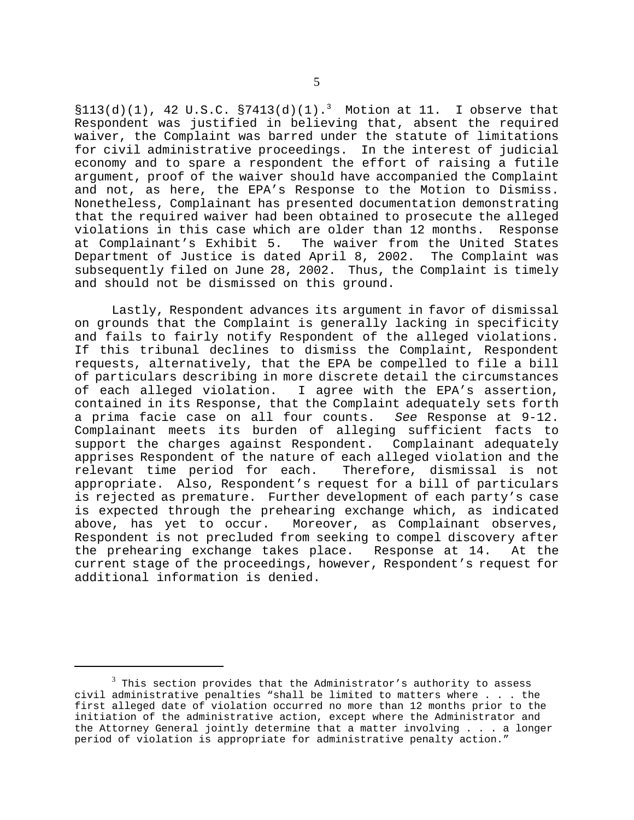$$113(d)(1)$ , 42 U.S.C.  $$7413(d)(1)$ .<sup>3</sup> Motion at 11. I observe that Respondent was justified in believing that, absent the required waiver, the Complaint was barred under the statute of limitations for civil administrative proceedings. In the interest of judicial economy and to spare a respondent the effort of raising a futile argument, proof of the waiver should have accompanied the Complaint and not, as here, the EPA's Response to the Motion to Dismiss. Nonetheless, Complainant has presented documentation demonstrating that the required waiver had been obtained to prosecute the alleged violations in this case which are older than 12 months. Response at Complainant's Exhibit 5. The waiver from the United States Department of Justice is dated April 8, 2002. The Complaint was subsequently filed on June 28, 2002. Thus, the Complaint is timely and should not be dismissed on this ground.

Lastly, Respondent advances its argument in favor of dismissal on grounds that the Complaint is generally lacking in specificity and fails to fairly notify Respondent of the alleged violations. If this tribunal declines to dismiss the Complaint, Respondent requests, alternatively, that the EPA be compelled to file a bill of particulars describing in more discrete detail the circumstances of each alleged violation. I agree with the EPA's assertion, contained in its Response, that the Complaint adequately sets forth a prima facie case on all four counts. *See* Response at 9-12. Complainant meets its burden of alleging sufficient facts to support the charges against Respondent. Complainant adequately apprises Respondent of the nature of each alleged violation and the relevant time period for each. Therefore, dismissal is not appropriate. Also, Respondent's request for a bill of particulars is rejected as premature. Further development of each party's case is expected through the prehearing exchange which, as indicated above, has yet to occur. Moreover, as Complainant observes, Respondent is not precluded from seeking to compel discovery after the prehearing exchange takes place. Response at 14. At the current stage of the proceedings, however, Respondent's request for additional information is denied.

 $^3$  This section provides that the Administrator's authority to assess civil administrative penalties "shall be limited to matters where . . . the first alleged date of violation occurred no more than 12 months prior to the initiation of the administrative action, except where the Administrator and the Attorney General jointly determine that a matter involving . . . a longer period of violation is appropriate for administrative penalty action."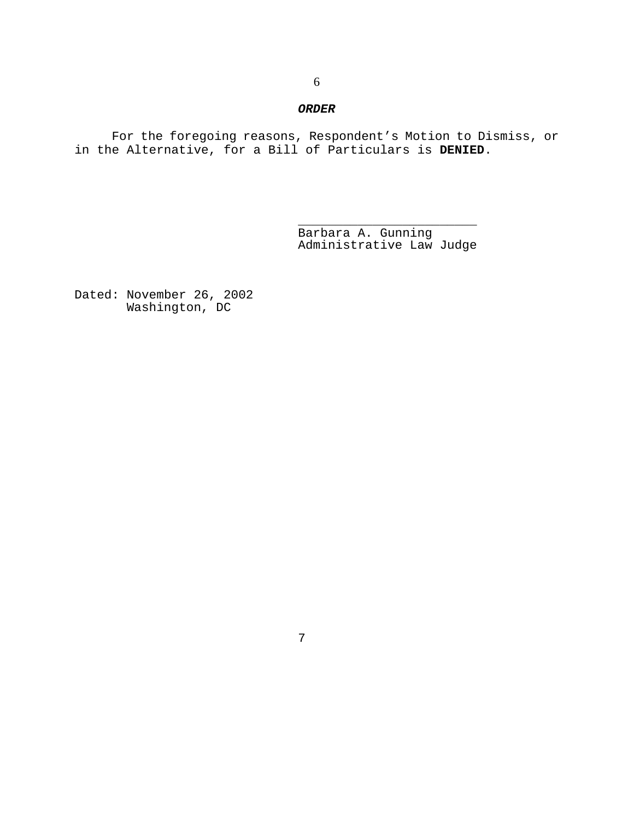### *ORDER*

For the foregoing reasons, Respondent's Motion to Dismiss, or in the Alternative, for a Bill of Particulars is **DENIED**.

7

Barbara A. Gunning Administrative Law Judge

\_\_\_\_\_\_\_\_\_\_\_\_\_\_\_\_\_\_\_\_\_\_\_\_

Dated: November 26, 2002 Washington, DC